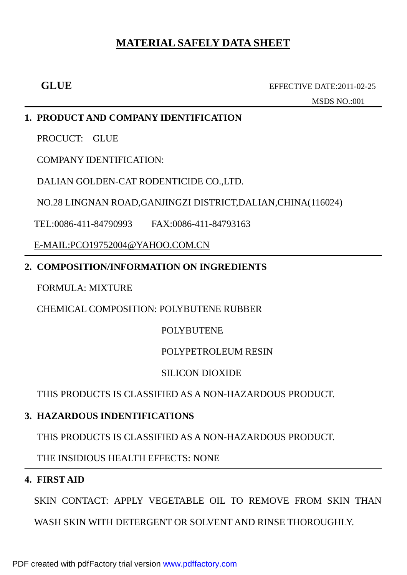# **MATERIAL SAFELY DATA SHEET**

 **GLUE** EFFECTIVE DATE:2011-02-25

MSDS NO.:001

# **1. PRODUCT AND COMPANY IDENTIFICATION**

PROCUCT: GLUE

COMPANY IDENTIFICATION:

DALIAN GOLDEN-CAT RODENTICIDE CO.,LTD.

NO.28 LINGNAN ROAD,GANJINGZI DISTRICT,DALIAN,CHINA(116024)

TEL:0086-411-84790993 FAX:0086-411-84793163

[E-MAIL:PCO19752004@YAHOO.COM.CN](mailto:E-MAIL:PCO19752004@YAHOO.COM.CN)

# **2. COMPOSITION/INFORMATION ON INGREDIENTS**

# FORMULA: MIXTURE

CHEMICAL COMPOSITION: POLYBUTENE RUBBER

# POLYBUTENE

# POLYPETROLEUM RESIN

# SILICON DIOXIDE

THIS PRODUCTS IS CLASSIFIED AS A NON-HAZARDOUS PRODUCT.

# **3. HAZARDOUS INDENTIFICATIONS**

THIS PRODUCTS IS CLASSIFIED AS A NON-HAZARDOUS PRODUCT.

THE INSIDIOUS HEALTH EFFECTS: NONE

# **4. FIRST AID**

SKIN CONTACT: APPLY VEGETABLE OIL TO REMOVE FROM SKIN THAN

WASH SKIN WITH DETERGENT OR SOLVENT AND RINSE THOROUGHLY.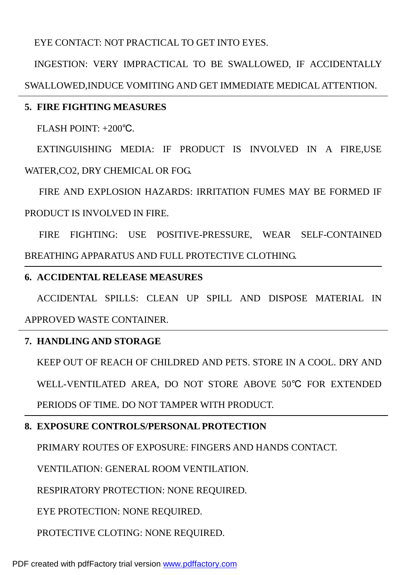EYE CONTACT: NOT PRACTICAL TO GET INTO EYES.

INGESTION: VERY IMPRACTICAL TO BE SWALLOWED, IF ACCIDENTALLY SWALLOWED,INDUCE VOMITING AND GET IMMEDIATE MEDICAL ATTENTION.

### **5. FIRE FIGHTING MEASURES**

FLASH POINT: +200℃.

EXTINGUISHING MEDIA: IF PRODUCT IS INVOLVED IN A FIRE,USE WATER,CO2, DRY CHEMICAL OR FOG.

 FIRE AND EXPLOSION HAZARDS: IRRITATION FUMES MAY BE FORMED IF PRODUCT IS INVOLVED IN FIRE.

 FIRE FIGHTING: USE POSITIVE-PRESSURE, WEAR SELF-CONTAINED BREATHING APPARATUS AND FULL PROTECTIVE CLOTHING.

#### **6. ACCIDENTAL RELEASE MEASURES**

ACCIDENTAL SPILLS: CLEAN UP SPILL AND DISPOSE MATERIAL IN APPROVED WASTE CONTAINER.

## **7. HANDLING AND STORAGE**

KEEP OUT OF REACH OF CHILDRED AND PETS. STORE IN A COOL. DRY AND WELL-VENTILATED AREA, DO NOT STORE ABOVE 50℃ FOR EXTENDED PERIODS OF TIME. DO NOT TAMPER WITH PRODUCT.

## **8. EXPOSURE CONTROLS/PERSONAL PROTECTION**

PRIMARY ROUTES OF EXPOSURE: FINGERS AND HANDS CONTACT.

VENTILATION: GENERAL ROOM VENTILATION.

RESPIRATORY PROTECTION: NONE REQUIRED.

EYE PROTECTION: NONE REQUIRED.

PROTECTIVE CLOTING: NONE REQUIRED.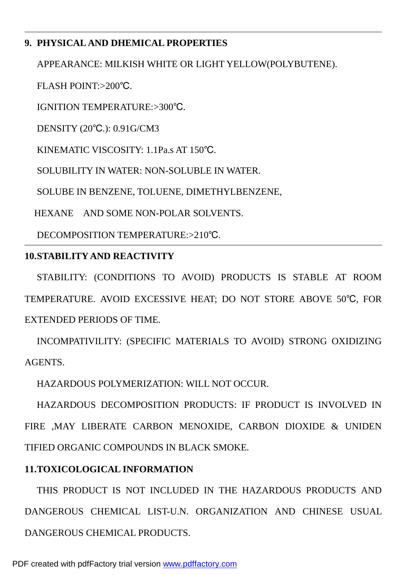# **9. PHYSICAL AND DHEMICAL PROPERTIES**

APPEARANCE: MILKISH WHITE OR LIGHT YELLOW(POLYBUTENE).

FLASH POINT:>200℃.

IGNITION TEMPERATURE:>300℃.

DENSITY (20℃.): 0.91G/CM3

KINEMATIC VISCOSITY: 1.1Pa.s AT 150℃.

SOLUBILITY IN WATER: NON-SOLUBLE IN WATER.

SOLUBE IN BENZENE, TOLUENE, DIMETHYLBENZENE,

HEXANE AND SOME NON-POLAR SOLVENTS.

DECOMPOSITION TEMPERATURE:>210℃.

## **10.STABILITY AND REACTIVITY**

STABILITY: (CONDITIONS TO AVOID) PRODUCTS IS STABLE AT ROOM TEMPERATURE. AVOID EXCESSIVE HEAT; DO NOT STORE ABOVE 50℃, FOR EXTENDED PERIODS OF TIME.

INCOMPATIVILITY: (SPECIFIC MATERIALS TO AVOID) STRONG OXIDIZING AGENTS.

HAZARDOUS POLYMERIZATION: WILL NOT OCCUR.

HAZARDOUS DECOMPOSITION PRODUCTS: IF PRODUCT IS INVOLVED IN FIRE ,MAY LIBERATE CARBON MENOXIDE, CARBON DIOXIDE & UNIDEN TIFIED ORGANIC COMPOUNDS IN BLACK SMOKE.

# **11.TOXICOLOGICAL INFORMATION**

THIS PRODUCT IS NOT INCLUDED IN THE HAZARDOUS PRODUCTS AND DANGEROUS CHEMICAL LIST-U.N. ORGANIZATION AND CHINESE USUAL DANGEROUS CHEMICAL PRODUCTS.